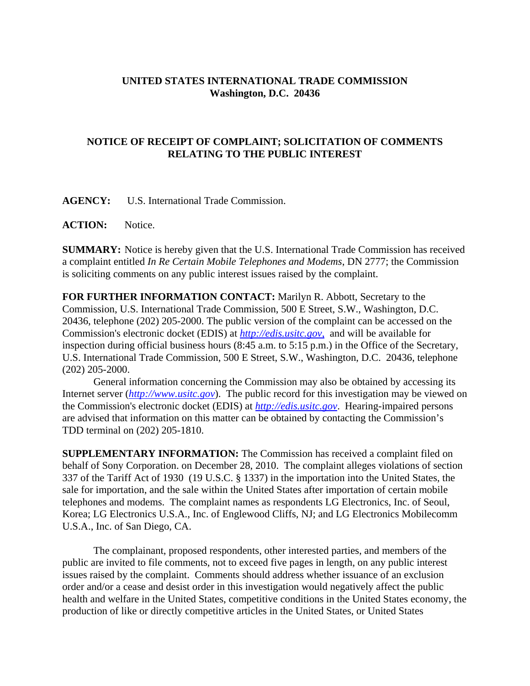## **UNITED STATES INTERNATIONAL TRADE COMMISSION Washington, D.C. 20436**

## **NOTICE OF RECEIPT OF COMPLAINT; SOLICITATION OF COMMENTS RELATING TO THE PUBLIC INTEREST**

**AGENCY:** U.S. International Trade Commission.

**ACTION:** Notice.

**SUMMARY:** Notice is hereby given that the U.S. International Trade Commission has received a complaint entitled *In Re Certain Mobile Telephones and Modems*, DN 2777; the Commission is soliciting comments on any public interest issues raised by the complaint.

**FOR FURTHER INFORMATION CONTACT:** Marilyn R. Abbott, Secretary to the Commission, U.S. International Trade Commission, 500 E Street, S.W., Washington, D.C. 20436, telephone (202) 205-2000. The public version of the complaint can be accessed on the Commission's electronic docket (EDIS) at *http://edis.usitc.gov*, and will be available for inspection during official business hours (8:45 a.m. to 5:15 p.m.) in the Office of the Secretary, U.S. International Trade Commission, 500 E Street, S.W., Washington, D.C. 20436, telephone (202) 205-2000.

General information concerning the Commission may also be obtained by accessing its Internet server (*http://www.usitc.gov*). The public record for this investigation may be viewed on the Commission's electronic docket (EDIS) at *http://edis.usitc.gov*. Hearing-impaired persons are advised that information on this matter can be obtained by contacting the Commission's TDD terminal on (202) 205-1810.

**SUPPLEMENTARY INFORMATION:** The Commission has received a complaint filed on behalf of Sony Corporation. on December 28, 2010. The complaint alleges violations of section 337 of the Tariff Act of 1930 (19 U.S.C. § 1337) in the importation into the United States, the sale for importation, and the sale within the United States after importation of certain mobile telephones and modems. The complaint names as respondents LG Electronics, Inc. of Seoul, Korea; LG Electronics U.S.A., Inc. of Englewood Cliffs, NJ; and LG Electronics Mobilecomm U.S.A., Inc. of San Diego, CA.

The complainant, proposed respondents, other interested parties, and members of the public are invited to file comments, not to exceed five pages in length, on any public interest issues raised by the complaint. Comments should address whether issuance of an exclusion order and/or a cease and desist order in this investigation would negatively affect the public health and welfare in the United States, competitive conditions in the United States economy, the production of like or directly competitive articles in the United States, or United States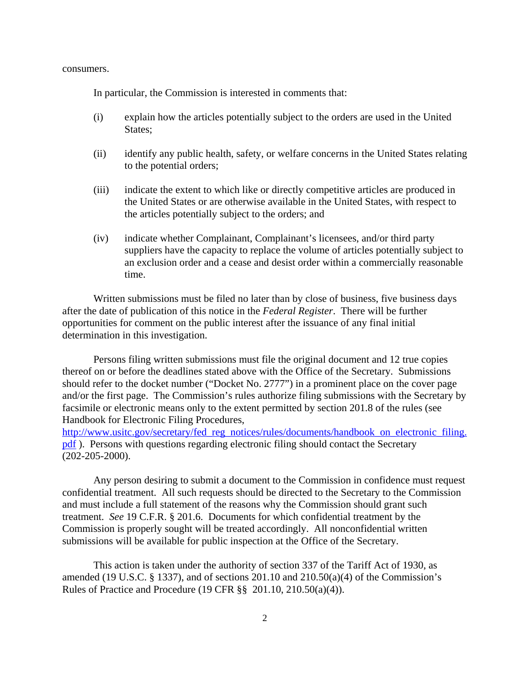consumers.

In particular, the Commission is interested in comments that:

- (i) explain how the articles potentially subject to the orders are used in the United States;
- (ii) identify any public health, safety, or welfare concerns in the United States relating to the potential orders;
- (iii) indicate the extent to which like or directly competitive articles are produced in the United States or are otherwise available in the United States, with respect to the articles potentially subject to the orders; and
- (iv) indicate whether Complainant, Complainant's licensees, and/or third party suppliers have the capacity to replace the volume of articles potentially subject to an exclusion order and a cease and desist order within a commercially reasonable time.

Written submissions must be filed no later than by close of business, five business days after the date of publication of this notice in the *Federal Register*. There will be further opportunities for comment on the public interest after the issuance of any final initial determination in this investigation.

Persons filing written submissions must file the original document and 12 true copies thereof on or before the deadlines stated above with the Office of the Secretary. Submissions should refer to the docket number ("Docket No. 2777") in a prominent place on the cover page and/or the first page. The Commission's rules authorize filing submissions with the Secretary by facsimile or electronic means only to the extent permitted by section 201.8 of the rules (see Handbook for Electronic Filing Procedures,

http://www.usitc.gov/secretary/fed\_reg\_notices/rules/documents/handbook\_on\_electronic\_filing. pdf ). Persons with questions regarding electronic filing should contact the Secretary (202-205-2000).

Any person desiring to submit a document to the Commission in confidence must request confidential treatment. All such requests should be directed to the Secretary to the Commission and must include a full statement of the reasons why the Commission should grant such treatment. *See* 19 C.F.R. § 201.6. Documents for which confidential treatment by the Commission is properly sought will be treated accordingly. All nonconfidential written submissions will be available for public inspection at the Office of the Secretary.

This action is taken under the authority of section 337 of the Tariff Act of 1930, as amended (19 U.S.C.  $\S$  1337), and of sections 201.10 and 210.50(a)(4) of the Commission's Rules of Practice and Procedure (19 CFR §§ 201.10, 210.50(a)(4)).